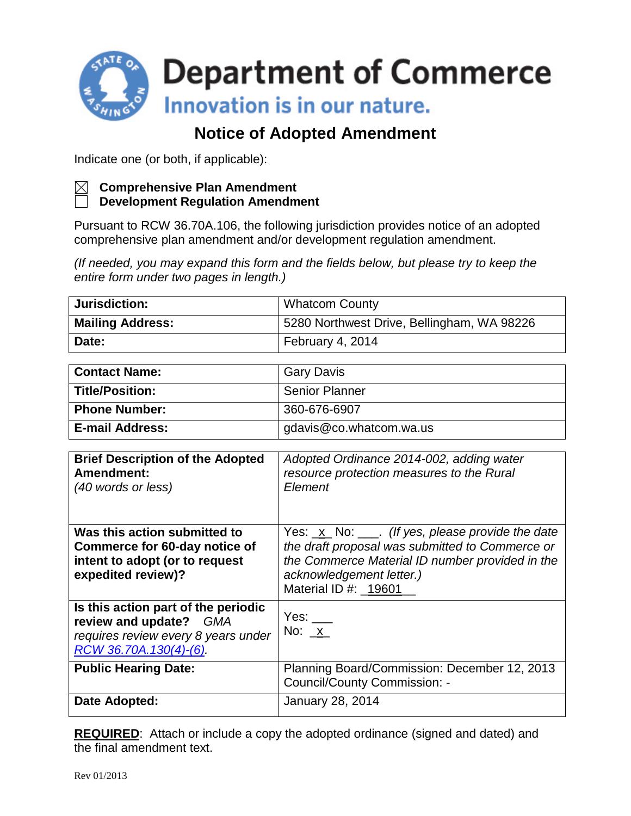

## **Notice of Adopted Amendment**

Indicate one (or both, if applicable):



## **Comprehensive Plan Amendment**

**Development Regulation Amendment**

Pursuant to RCW 36.70A.106, the following jurisdiction provides notice of an adopted comprehensive plan amendment and/or development regulation amendment.

*(If needed, you may expand this form and the fields below, but please try to keep the entire form under two pages in length.)*

| Jurisdiction:           | <b>Whatcom County</b>                      |  |
|-------------------------|--------------------------------------------|--|
| <b>Mailing Address:</b> | 5280 Northwest Drive, Bellingham, WA 98226 |  |
| Date:                   | February 4, 2014                           |  |

| <b>Contact Name:</b>   | <b>Gary Davis</b>       |
|------------------------|-------------------------|
| Title/Position:        | <b>Senior Planner</b>   |
| Phone Number:          | 360-676-6907            |
| <b>E-mail Address:</b> | gdavis@co.whatcom.wa.us |

| <b>Brief Description of the Adopted</b><br>Amendment:           | Adopted Ordinance 2014-002, adding water<br>resource protection measures to the Rural              |
|-----------------------------------------------------------------|----------------------------------------------------------------------------------------------------|
| (40 words or less)                                              | Element                                                                                            |
|                                                                 |                                                                                                    |
| Was this action submitted to                                    | Yes: $\underline{x}$ No: $\underline{y}$ . (If yes, please provide the date                        |
| Commerce for 60-day notice of<br>intent to adopt (or to request | the draft proposal was submitted to Commerce or<br>the Commerce Material ID number provided in the |
| expedited review)?                                              | acknowledgement letter.)                                                                           |
|                                                                 | Material ID #: 19601                                                                               |
| Is this action part of the periodic                             | Yes: $\_\_$                                                                                        |
| review and update? GMA                                          | No: $x$                                                                                            |
| requires review every 8 years under<br>RCW 36.70A.130(4)-(6).   |                                                                                                    |
|                                                                 |                                                                                                    |
| <b>Public Hearing Date:</b>                                     | Planning Board/Commission: December 12, 2013<br><b>Council/County Commission: -</b>                |
|                                                                 |                                                                                                    |
| Date Adopted:                                                   | <b>January 28, 2014</b>                                                                            |
|                                                                 |                                                                                                    |

**REQUIRED:** Attach or include a copy the adopted ordinance (signed and dated) and the final amendment text.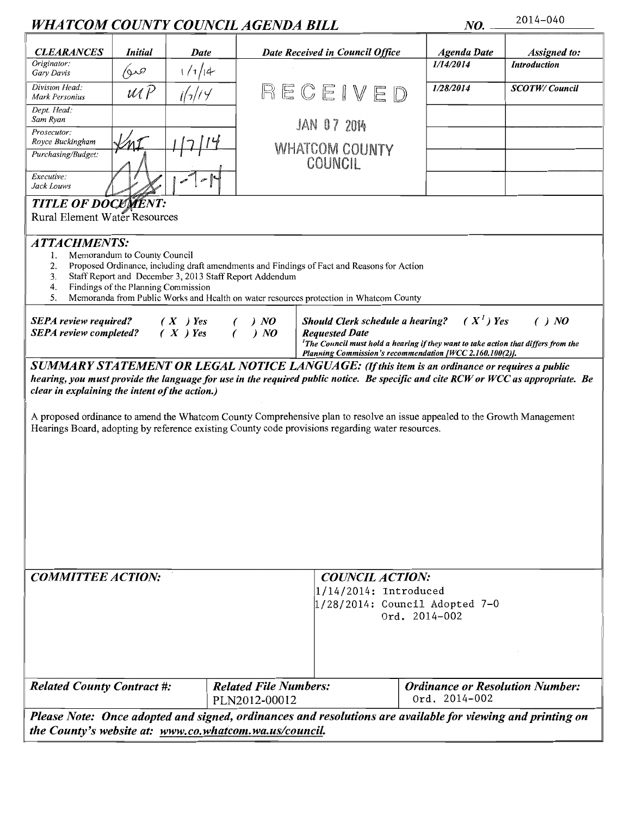| WHATCOM COUNTY COUNCIL AGENDA BILL                                                                                                                                                                                                                                                                                                                                                                                                                                                                                    |                        |               | NO.                                                                                                                                                                                                                                          | 2014-040  |                                        |  |  |  |
|-----------------------------------------------------------------------------------------------------------------------------------------------------------------------------------------------------------------------------------------------------------------------------------------------------------------------------------------------------------------------------------------------------------------------------------------------------------------------------------------------------------------------|------------------------|---------------|----------------------------------------------------------------------------------------------------------------------------------------------------------------------------------------------------------------------------------------------|-----------|----------------------------------------|--|--|--|
| <b>CLEARANCES</b><br><b>Initial</b>                                                                                                                                                                                                                                                                                                                                                                                                                                                                                   | Date                   |               | Date Received in Council Office                                                                                                                                                                                                              |           | <b>Assigned</b> to:                    |  |  |  |
| Originator:<br>ھىو)<br>Gary Davis                                                                                                                                                                                                                                                                                                                                                                                                                                                                                     | 1/7/4                  |               |                                                                                                                                                                                                                                              | 1/14/2014 | <b>Introduction</b>                    |  |  |  |
| Division Head:<br>$\mathcal{U}\mathcal{U}\mathcal{P}$<br>Mark Personius                                                                                                                                                                                                                                                                                                                                                                                                                                               |                        |               | RECEIVE                                                                                                                                                                                                                                      |           | <b>SCOTW/Council</b>                   |  |  |  |
| Dept. Head:<br>Sam Ryan                                                                                                                                                                                                                                                                                                                                                                                                                                                                                               |                        |               | <b>JAN 07 2014</b>                                                                                                                                                                                                                           |           |                                        |  |  |  |
| Prosecutor:<br>Royce Buckingham                                                                                                                                                                                                                                                                                                                                                                                                                                                                                       |                        |               | <b>WHATCOM COUNTY</b><br>COUNCIL                                                                                                                                                                                                             |           |                                        |  |  |  |
| Purchasing/Budget:                                                                                                                                                                                                                                                                                                                                                                                                                                                                                                    |                        |               |                                                                                                                                                                                                                                              |           |                                        |  |  |  |
| Executive:<br>Jack Louws                                                                                                                                                                                                                                                                                                                                                                                                                                                                                              |                        |               |                                                                                                                                                                                                                                              |           |                                        |  |  |  |
| <b>TITLE OF DOCUMENT:</b><br>Rural Element Water Resources                                                                                                                                                                                                                                                                                                                                                                                                                                                            |                        |               |                                                                                                                                                                                                                                              |           |                                        |  |  |  |
| <b>ATTACHMENTS:</b><br>Memorandum to County Council<br>l.<br>2.<br>Proposed Ordinance, including draft amendments and Findings of Fact and Reasons for Action<br>3.<br>Staff Report and December 3, 2013 Staff Report Addendum<br>Findings of the Planning Commission<br>4.<br>5.<br>Memoranda from Public Works and Health on water resources protection in Whatcom County                                                                                                                                           |                        |               |                                                                                                                                                                                                                                              |           |                                        |  |  |  |
| <b>SEPA</b> review required?<br><b>SEPA</b> review completed?                                                                                                                                                                                                                                                                                                                                                                                                                                                         | $(X)$ Yes<br>$(X)$ Yes | ) NO<br>) NO  | $(X^1)$ Yes<br>Should Clerk schedule a hearing?<br>( ) NO<br><b>Requested Date</b><br>${}^{1}$ The Council must hold a hearing if they want to take action that differs from the<br>Planning Commission's recommendation [WCC 2.160.100(2)]. |           |                                        |  |  |  |
| SUMMARY STATEMENT OR LEGAL NOTICE LANGUAGE: (If this item is an ordinance or requires a public<br>hearing, you must provide the language for use in the required public notice. Be specific and cite RCW or WCC as appropriate. Be<br>clear in explaining the intent of the action.)<br>A proposed ordinance to amend the Whatcom County Comprehensive plan to resolve an issue appealed to the Growth Management<br>Hearings Board, adopting by reference existing County code provisions regarding water resources. |                        |               |                                                                                                                                                                                                                                              |           |                                        |  |  |  |
| <b>COMMITTEE ACTION:</b><br><b>COUNCIL ACTION:</b><br>$1/14/2014$ : Introduced<br>$1/28/2014$ : Council Adopted 7-0                                                                                                                                                                                                                                                                                                                                                                                                   |                        |               | Ord. 2014-002                                                                                                                                                                                                                                |           |                                        |  |  |  |
| <b>Related County Contract #:</b>                                                                                                                                                                                                                                                                                                                                                                                                                                                                                     |                        | PLN2012-00012 | <b>Related File Numbers:</b><br>Ord. 2014-002                                                                                                                                                                                                |           | <b>Ordinance or Resolution Number:</b> |  |  |  |
| Please Note: Once adopted and signed, ordinances and resolutions are available for viewing and printing on<br>the County's website at: www.co.whatcom.wa.us/council.                                                                                                                                                                                                                                                                                                                                                  |                        |               |                                                                                                                                                                                                                                              |           |                                        |  |  |  |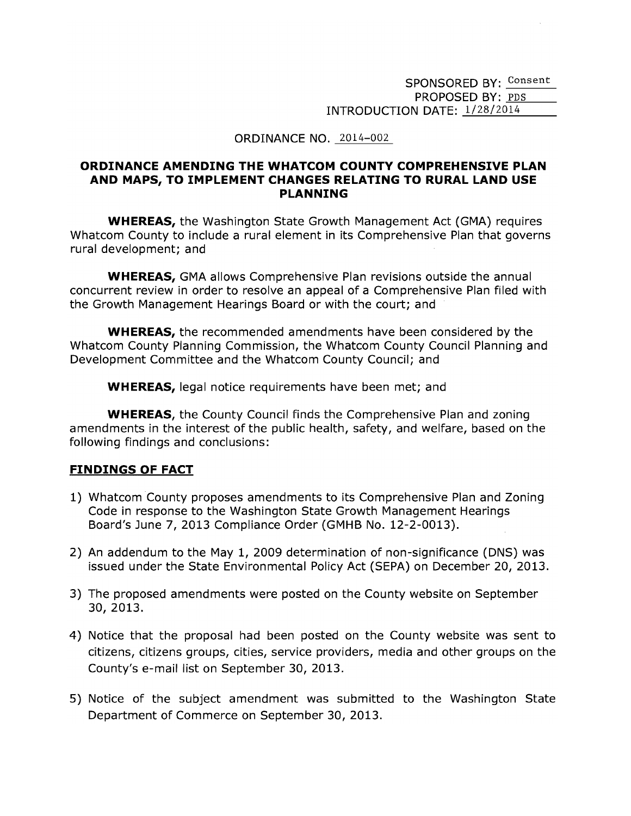SPONSORED BY: Consent PROPOSED BY: PDS INTRODUCTION DATE: 1/28/2014

#### ORDINANCE NO. 2014-002

#### ORDINANCE AMENDING THE WHATCOM COUNTY COMPREHENSIVE PLAN AND MAPS, TO IMPLEMENT CHANGES RELATING TO RURAL LAND USE **PLANNING**

**WHEREAS, the Washington State Growth Management Act (GMA) requires** Whatcom County to include a rural element in its Comprehensive Plan that governs rural development; and

**WHEREAS, GMA allows Comprehensive Plan revisions outside the annual** concurrent review in order to resolve an appeal of a Comprehensive Plan filed with the Growth Management Hearings Board or with the court; and

**WHEREAS,** the recommended amendments have been considered by the Whatcom County Planning Commission, the Whatcom County Council Planning and Development Committee and the Whatcom County Council; and

**WHEREAS, legal notice requirements have been met; and** 

**WHEREAS**, the County Council finds the Comprehensive Plan and zoning amendments in the interest of the public health, safety, and welfare, based on the following findings and conclusions:

#### **FINDINGS OF FACT**

- 1) Whatcom County proposes amendments to its Comprehensive Plan and Zoning Code in response to the Washington State Growth Management Hearings Board's June 7, 2013 Compliance Order (GMHB No. 12-2-0013).
- 2) An addendum to the May 1, 2009 determination of non-significance (DNS) was issued under the State Environmental Policy Act (SEPA) on December 20, 2013.
- 3) The proposed amendments were posted on the County website on September 30, 2013.
- 4) Notice that the proposal had been posted on the County website was sent to citizens, citizens groups, cities, service providers, media and other groups on the County's e-mail list on September 30, 2013.
- 5) Notice of the subject amendment was submitted to the Washington State Department of Commerce on September 30, 2013.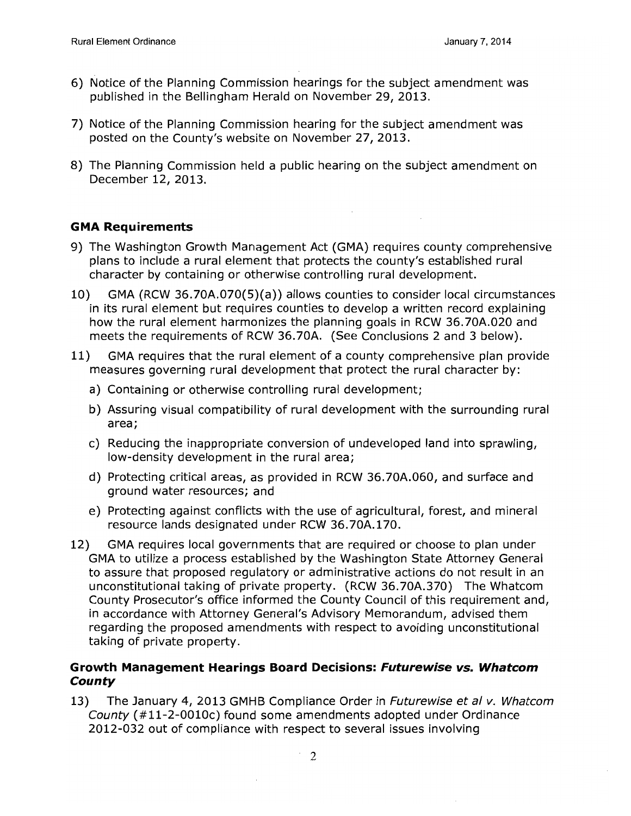- 6) Notice of the Planning Commission hearings for the subject amendment was published in the Bellingham Herald on November 29, 2013.
- 7) Notice of the Planning Commission hearing for the subject amendment was posted on the County's website on November 27, 2013.
- 8) The Planning Commission held a public hearing on the subject amendment on December 12, 2013.

#### **GMA Requirements**

- 9) The Washington Growth Management Act (GMA) requires county comprehensive plans to include a rural element that protects the county's established rural character by containing or otherwise controlling rural development.
- $10)$ GMA (RCW 36.70A.070(5)(a)) allows counties to consider local circumstances in its rural element but requires counties to develop a written record explaining how the rural element harmonizes the planning goals in RCW 36.70A.020 and meets the requirements of RCW 36.70A. (See Conclusions 2 and 3 below).
- 11) GMA requires that the rural element of a county comprehensive plan provide measures governing rural development that protect the rural character by:
	- a) Containing or otherwise controlling rural development;
	- b) Assuring visual compatibility of rural development with the surrounding rural area;
	- c) Reducing the inappropriate conversion of undeveloped land into sprawling, low-density development in the rural area;
	- d) Protecting critical areas, as provided in RCW 36.70A.060, and surface and ground water resources; and
	- e) Protecting against conflicts with the use of agricultural, forest, and mineral resource lands designated under RCW 36.70A.170.
- GMA requires local governments that are required or choose to plan under 12) GMA to utilize a process established by the Washington State Attorney General to assure that proposed regulatory or administrative actions do not result in an unconstitutional taking of private property. (RCW 36.70A.370) The Whatcom County Prosecutor's office informed the County Council of this requirement and, in accordance with Attorney General's Advisory Memorandum, advised them regarding the proposed amendments with respect to avoiding unconstitutional taking of private property.

#### Growth Management Hearings Board Decisions: Futurewise vs. Whatcom **County**

The January 4, 2013 GMHB Compliance Order in *Futurewise et al v. Whatcom* 13) County (#11-2-0010c) found some amendments adopted under Ordinance 2012-032 out of compliance with respect to several issues involving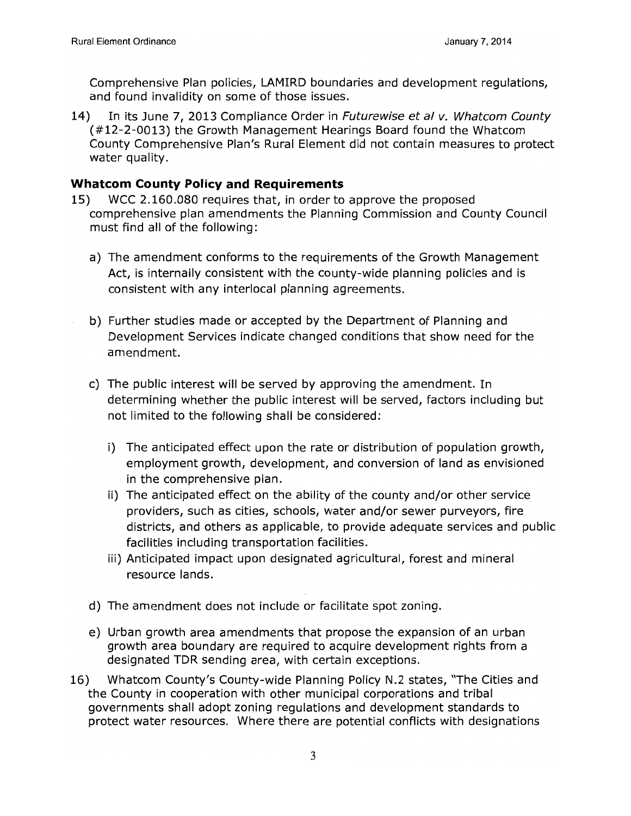Comprehensive Plan policies, LAMIRD boundaries and development regulations, and found invalidity on some of those issues.

In its June 7, 2013 Compliance Order in Futurewise et al v. Whatcom County 14) (#12-2-0013) the Growth Management Hearings Board found the Whatcom County Comprehensive Plan's Rural Element did not contain measures to protect water quality.

#### **Whatcom County Policy and Requirements**

- WCC 2.160.080 requires that, in order to approve the proposed 15) comprehensive plan amendments the Planning Commission and County Council must find all of the following:
	- a) The amendment conforms to the requirements of the Growth Management Act, is internally consistent with the county-wide planning policies and is consistent with any interlocal planning agreements.
	- b) Further studies made or accepted by the Department of Planning and Development Services indicate changed conditions that show need for the amendment.
	- c) The public interest will be served by approving the amendment. In determining whether the public interest will be served, factors including but not limited to the following shall be considered:
		- i) The anticipated effect upon the rate or distribution of population growth, employment growth, development, and conversion of land as envisioned in the comprehensive plan.
		- ii) The anticipated effect on the ability of the county and/or other service providers, such as cities, schools, water and/or sewer purveyors, fire districts, and others as applicable, to provide adequate services and public facilities including transportation facilities.
		- iii) Anticipated impact upon designated agricultural, forest and mineral resource lands.
	- d) The amendment does not include or facilitate spot zoning.
	- e) Urban growth area amendments that propose the expansion of an urban growth area boundary are required to acquire development rights from a designated TDR sending area, with certain exceptions.
- Whatcom County's County-wide Planning Policy N.2 states, "The Cities and 16) the County in cooperation with other municipal corporations and tribal governments shall adopt zoning regulations and development standards to protect water resources. Where there are potential conflicts with designations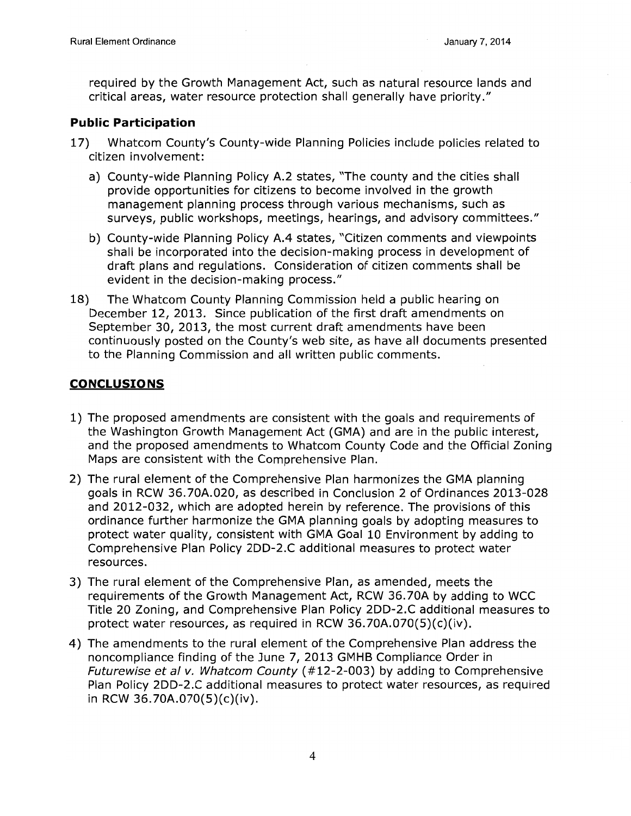required by the Growth Management Act, such as natural resource lands and critical areas, water resource protection shall generally have priority."

### **Public Participation**

- $17)$ Whatcom County's County-wide Planning Policies include policies related to citizen involvement:
	- a) County-wide Planning Policy A.2 states, "The county and the cities shall provide opportunities for citizens to become involved in the growth management planning process through various mechanisms, such as surveys, public workshops, meetings, hearings, and advisory committees."
	- b) County-wide Planning Policy A.4 states, "Citizen comments and viewpoints shall be incorporated into the decision-making process in development of draft plans and regulations. Consideration of citizen comments shall be evident in the decision-making process."
- The Whatcom County Planning Commission held a public hearing on 18) December 12, 2013. Since publication of the first draft amendments on September 30, 2013, the most current draft amendments have been continuously posted on the County's web site, as have all documents presented to the Planning Commission and all written public comments.

#### **CONCLUSIONS**

- 1) The proposed amendments are consistent with the goals and requirements of the Washington Growth Management Act (GMA) and are in the public interest, and the proposed amendments to Whatcom County Code and the Official Zoning Maps are consistent with the Comprehensive Plan.
- 2) The rural element of the Comprehensive Plan harmonizes the GMA planning goals in RCW 36.70A.020, as described in Conclusion 2 of Ordinances 2013-028 and 2012-032, which are adopted herein by reference. The provisions of this ordinance further harmonize the GMA planning goals by adopting measures to protect water quality, consistent with GMA Goal 10 Environment by adding to Comprehensive Plan Policy 2DD-2.C additional measures to protect water resources.
- 3) The rural element of the Comprehensive Plan, as amended, meets the requirements of the Growth Management Act, RCW 36.70A by adding to WCC Title 20 Zoning, and Comprehensive Plan Policy 2DD-2.C additional measures to protect water resources, as required in RCW 36.70A.070(5)(c)(iv).
- 4) The amendments to the rural element of the Comprehensive Plan address the noncompliance finding of the June 7, 2013 GMHB Compliance Order in *Futurewise et al v. Whatcom County (#12-2-003)* by adding to Comprehensive Plan Policy 2DD-2.C additional measures to protect water resources, as required in RCW 36.70A.070(5)(c)(iv).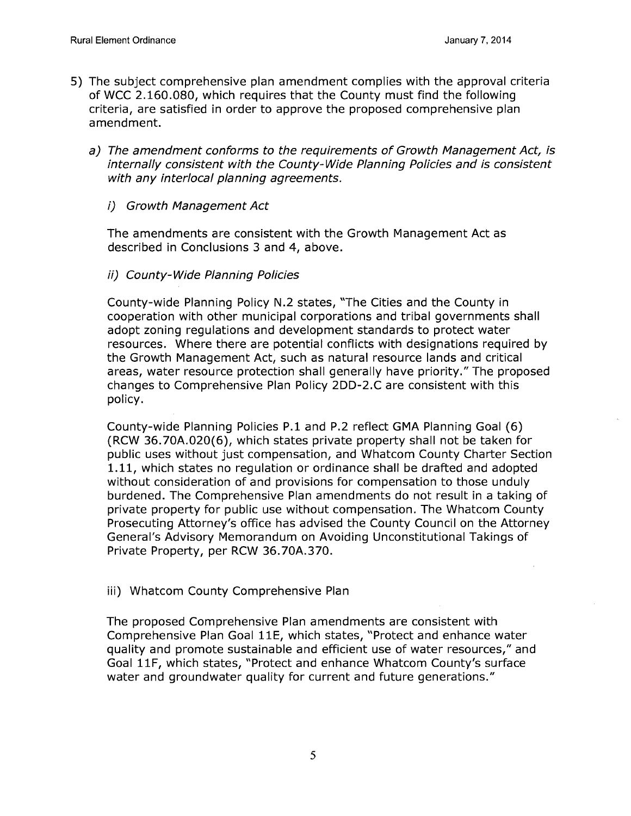- 5) The subject comprehensive plan amendment complies with the approval criteria of WCC 2.160.080, which requires that the County must find the following criteria, are satisfied in order to approve the proposed comprehensive plan amendment.
	- a) The amendment conforms to the requirements of Growth Management Act, is internally consistent with the County-Wide Planning Policies and is consistent with any interlocal planning agreements.
		- i) Growth Management Act

The amendments are consistent with the Growth Management Act as described in Conclusions 3 and 4, above.

ii) County-Wide Planning Policies

County-wide Planning Policy N.2 states, "The Cities and the County in cooperation with other municipal corporations and tribal governments shall adopt zoning regulations and development standards to protect water resources. Where there are potential conflicts with designations required by the Growth Management Act, such as natural resource lands and critical areas, water resource protection shall generally have priority." The proposed changes to Comprehensive Plan Policy 2DD-2.C are consistent with this policy.

County-wide Planning Policies P.1 and P.2 reflect GMA Planning Goal (6) (RCW 36.70A.020(6), which states private property shall not be taken for public uses without just compensation, and Whatcom County Charter Section 1.11, which states no requiation or ordinance shall be drafted and adopted without consideration of and provisions for compensation to those unduly burdened. The Comprehensive Plan amendments do not result in a taking of private property for public use without compensation. The Whatcom County Prosecuting Attorney's office has advised the County Council on the Attorney General's Advisory Memorandum on Avoiding Unconstitutional Takings of Private Property, per RCW 36.70A.370.

iii) Whatcom County Comprehensive Plan

The proposed Comprehensive Plan amendments are consistent with Comprehensive Plan Goal 11E, which states, "Protect and enhance water quality and promote sustainable and efficient use of water resources," and Goal 11F, which states, "Protect and enhance Whatcom County's surface water and groundwater quality for current and future generations."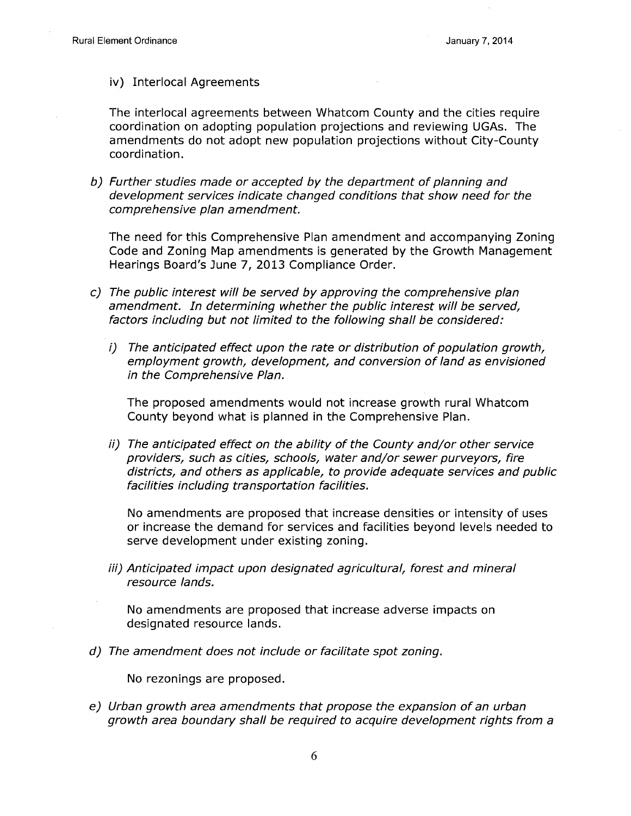iv) Interlocal Agreements

The interlocal agreements between Whatcom County and the cities require coordination on adopting population projections and reviewing UGAs. The amendments do not adopt new population projections without City-County coordination.

b) Further studies made or accepted by the department of planning and development services indicate changed conditions that show need for the comprehensive plan amendment.

The need for this Comprehensive Plan amendment and accompanying Zoning Code and Zoning Map amendments is generated by the Growth Management Hearings Board's June 7, 2013 Compliance Order.

- c) The public interest will be served by approving the comprehensive plan amendment. In determining whether the public interest will be served, factors including but not limited to the following shall be considered:
	- $\left( i\right)$ The anticipated effect upon the rate or distribution of population growth, employment growth, development, and conversion of land as envisioned in the Comprehensive Plan.

The proposed amendments would not increase growth rural Whatcom County beyond what is planned in the Comprehensive Plan.

ii) The anticipated effect on the ability of the County and/or other service providers, such as cities, schools, water and/or sewer purveyors, fire districts, and others as applicable, to provide adequate services and public facilities including transportation facilities.

No amendments are proposed that increase densities or intensity of uses or increase the demand for services and facilities beyond levels needed to serve development under existing zoning.

iii) Anticipated impact upon designated agricultural, forest and mineral resource lands.

No amendments are proposed that increase adverse impacts on designated resource lands.

d) The amendment does not include or facilitate spot zoning.

No rezonings are proposed.

e) Urban growth area amendments that propose the expansion of an urban growth area boundary shall be required to acquire development rights from a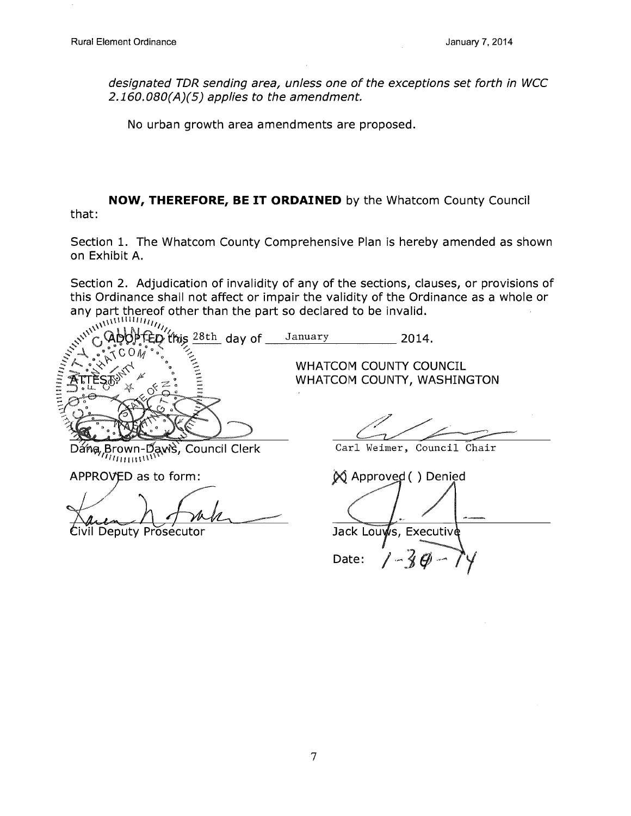designated TDR sending area, unless one of the exceptions set forth in WCC  $2.160.080(A)(5)$  applies to the amendment.

No urban growth area amendments are proposed.

#### NOW, THEREFORE, BE IT ORDAINED by the Whatcom County Council that:

Section 1. The Whatcom County Comprehensive Plan is hereby amended as shown on Exhibit A.

Section 2. Adjudication of invalidity of any of the sections, clauses, or provisions of this Ordinance shall not affect or impair the validity of the Ordinance as a whole or any part thereof other than the part so declared to be invalid.

AMINING CALL CONTROL this  $28th$  day of January 2014. WHATCOM COUNTY COUNCIL WHATCOM COUNTY, WASHINGTON Dána, Brown-Daws, Council Clerk Carl Weimer, Council Chair  $m_{\rm mm}$ w APPROVED as to form:  $\bowtie$  Approved () Denied Jack Louws, Executive Civil Deputy Prosecutor

Date: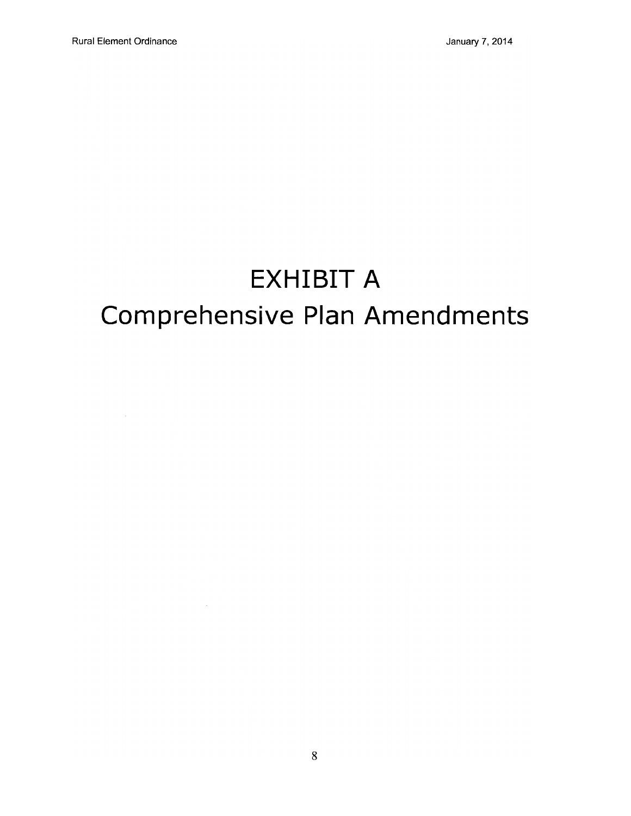$\mathcal{L}_{\mathcal{A}}$ 

# **EXHIBIT A** Comprehensive Plan Amendments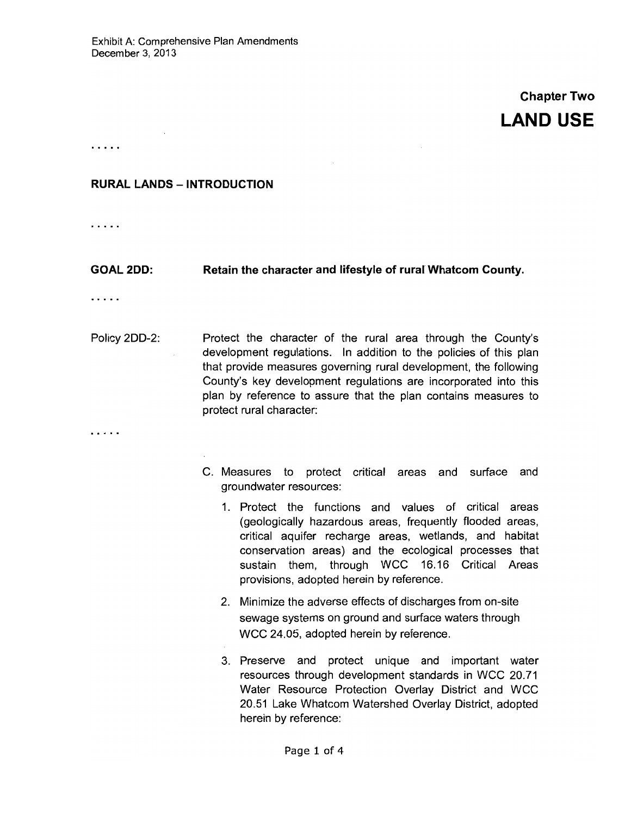## **Chapter Two LAND USE**

. . . . .

#### **RURAL LANDS - INTRODUCTION**

. . . . .

**GOAL 2DD:** Retain the character and lifestyle of rural Whatcom County.

. . . . .

. . . . .

- Policy 2DD-2: Protect the character of the rural area through the County's development regulations. In addition to the policies of this plan that provide measures governing rural development, the following County's key development regulations are incorporated into this plan by reference to assure that the plan contains measures to protect rural character:
	- C. Measures to protect critical areas and surface and groundwater resources:
		- 1. Protect the functions and values of critical areas (geologically hazardous areas, frequently flooded areas, critical aquifer recharge areas, wetlands, and habitat conservation areas) and the ecological processes that sustain them, through WCC 16.16 Critical Areas provisions, adopted herein by reference.
		- 2. Minimize the adverse effects of discharges from on-site sewage systems on ground and surface waters through WCC 24.05, adopted herein by reference.
		- 3. Preserve and protect unique and important water resources through development standards in WCC 20.71 Water Resource Protection Overlay District and WCC 20.51 Lake Whatcom Watershed Overlay District, adopted herein by reference: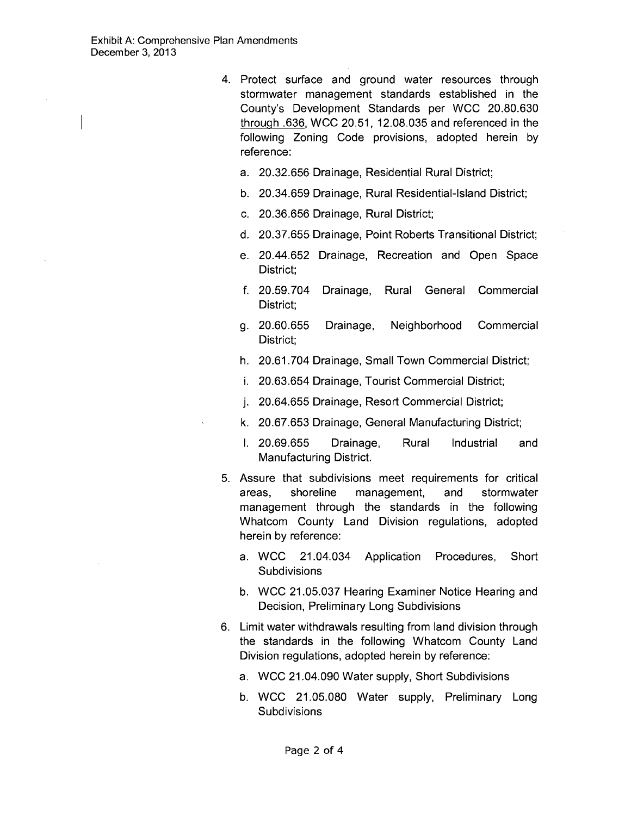- 4. Protect surface and ground water resources through stormwater management standards established in the County's Development Standards per WCC 20.80.630 through .636, WCC 20.51, 12.08.035 and referenced in the following Zoning Code provisions, adopted herein by reference:
	- a. 20.32.656 Drainage, Residential Rural District;
	- b. 20.34.659 Drainage, Rural Residential-Island District;
	- c. 20.36.656 Drainage, Rural District;
	- d. 20.37.655 Drainage, Point Roberts Transitional District;
	- e. 20.44.652 Drainage, Recreation and Open Space District:
	- f. 20.59.704 Drainage, Rural General Commercial District;
	- g. 20.60.655 Drainage, Neighborhood Commercial District:
	- h. 20.61.704 Drainage, Small Town Commercial District;
	- i. 20.63.654 Drainage, Tourist Commercial District;
	- j. 20.64.655 Drainage, Resort Commercial District;
	- k. 20.67.653 Drainage, General Manufacturing District;
	- I. 20.69.655 Drainage, Rural Industrial and Manufacturing District.
- 5. Assure that subdivisions meet requirements for critical shoreline management, and stormwater areas. management through the standards in the following Whatcom County Land Division regulations, adopted herein by reference:
	- a. WCC 21.04.034 Application Procedures, Short **Subdivisions**
	- b. WCC 21.05.037 Hearing Examiner Notice Hearing and Decision, Preliminary Long Subdivisions
- 6. Limit water withdrawals resulting from land division through the standards in the following Whatcom County Land Division regulations, adopted herein by reference:
	- a. WCC 21.04.090 Water supply, Short Subdivisions
	- b. WCC 21.05.080 Water supply, Preliminary Long **Subdivisions**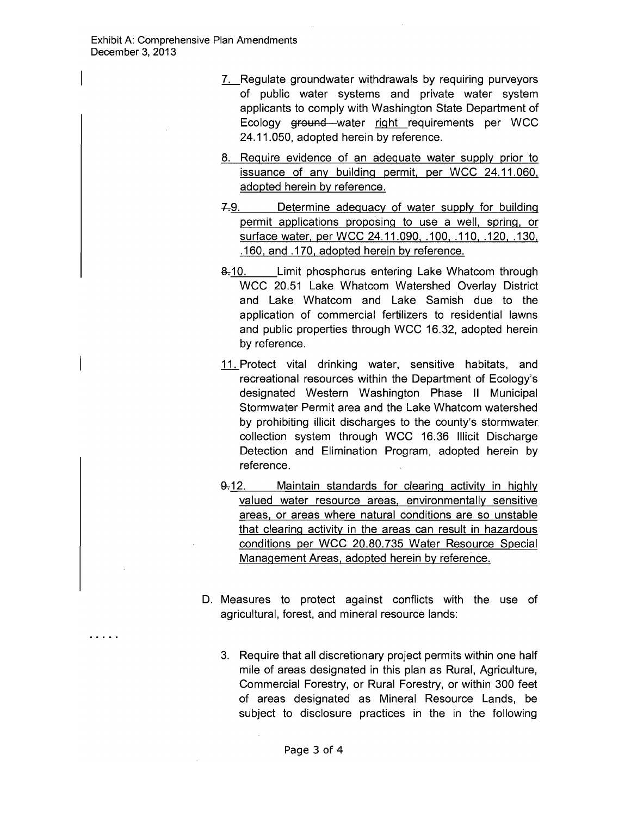$\sim$   $\sim$   $\sim$   $\sim$ 

- 7. Regulate groundwater withdrawals by requiring purveyors of public water systems and private water system applicants to comply with Washington State Department of Ecology ground water right requirements per WCC 24.11.050, adopted herein by reference.
- 8. Require evidence of an adequate water supply prior to issuance of any building permit, per WCC 24.11.060, adopted herein by reference.
- Determine adequacy of water supply for building  $7.9.$ permit applications proposing to use a well, spring, or surface water, per WCC 24, 11, 090, .100, .110, .120, .130, .160, and .170, adopted herein by reference.
- 8.10. Limit phosphorus entering Lake Whatcom through WCC 20.51 Lake Whatcom Watershed Overlay District and Lake Whatcom and Lake Samish due to the application of commercial fertilizers to residential lawns and public properties through WCC 16.32, adopted herein by reference.
- 11. Protect vital drinking water, sensitive habitats, and recreational resources within the Department of Ecology's designated Western Washington Phase II Municipal Stormwater Permit area and the Lake Whatcom watershed by prohibiting illicit discharges to the county's stormwater collection system through WCC 16.36 Illicit Discharge Detection and Elimination Program, adopted herein by reference.
- $9.12.$ Maintain standards for clearing activity in highly valued water resource areas, environmentally sensitive areas, or areas where natural conditions are so unstable that clearing activity in the areas can result in hazardous conditions per WCC 20.80.735 Water Resource Special Management Areas, adopted herein by reference.
- D. Measures to protect against conflicts with the use of agricultural, forest, and mineral resource lands:
	- 3. Require that all discretionary project permits within one half mile of areas designated in this plan as Rural, Agriculture, Commercial Forestry, or Rural Forestry, or within 300 feet of areas designated as Mineral Resource Lands, be subject to disclosure practices in the in the following